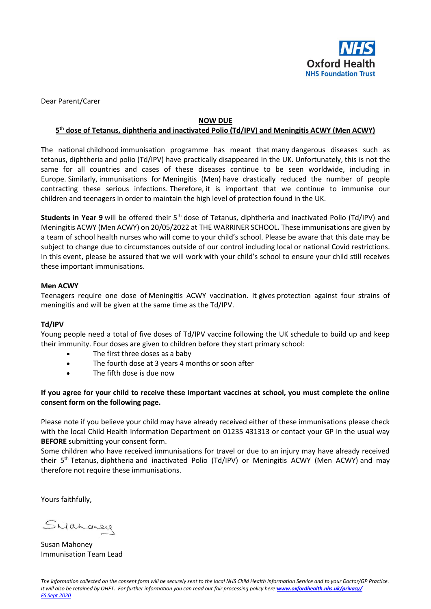

Dear Parent/Carer

#### **NOW DUE**

## **5 th dose of Tetanus, diphtheria and inactivated Polio (Td/IPV) and Meningitis ACWY (Men ACWY)**

The national childhood immunisation programme has meant that many dangerous diseases such as tetanus, diphtheria and polio (Td/IPV) have practically disappeared in the UK. Unfortunately, this is not the same for all countries and cases of these diseases continue to be seen worldwide, including in Europe. Similarly, immunisations for Meningitis (Men) have drastically reduced the number of people contracting these serious infections. Therefore, it is important that we continue to immunise our children and teenagers in order to maintain the high level of protection found in the UK.

**Students in Year 9** will be offered their 5<sup>th</sup> dose of Tetanus, diphtheria and inactivated Polio (Td/IPV) and Meningitis ACWY (Men ACWY) on 20/05/2022 at THE WARRINER SCHOOL**.** These immunisations are given by a team of school health nurses who will come to your child's school. Please be aware that this date may be subject to change due to circumstances outside of our control including local or national Covid restrictions. In this event, please be assured that we will work with your child's school to ensure your child still receives these important immunisations.

### **Men ACWY**

Teenagers require one dose of Meningitis ACWY vaccination. It gives protection against four strains of meningitis and will be given at the same time as the Td/IPV.

#### **Td/IPV**

Young people need a total of five doses of Td/IPV vaccine following the UK schedule to build up and keep their immunity. Four doses are given to children before they start primary school:

- The first three doses as a baby
- The fourth dose at 3 years 4 months or soon after
- The fifth dose is due now

**If you agree for your child to receive these important vaccines at school, you must complete the online consent form on the following page.**

Please note if you believe your child may have already received either of these immunisations please check with the local Child Health Information Department on 01235 431313 or contact your GP in the usual way **BEFORE** submitting your consent form.

Some children who have received immunisations for travel or due to an injury may have already received their 5th Tetanus, diphtheria and inactivated Polio (Td/IPV) or Meningitis ACWY (Men ACWY) and may therefore not require these immunisations.

Yours faithfully,

Sydnoney

Susan Mahoney Immunisation Team Lead

*The information collected on the consent form will be securely sent to the local NHS Child Health Information Service and to your Doctor/GP Practice. It will also be retained by OHFT. For further information you can read our fair processing policy here:[www.oxfordhealth.nhs.uk/privacy/](https://www.oxfordhealth.nhs.uk/privacy/) FS Sept 2020*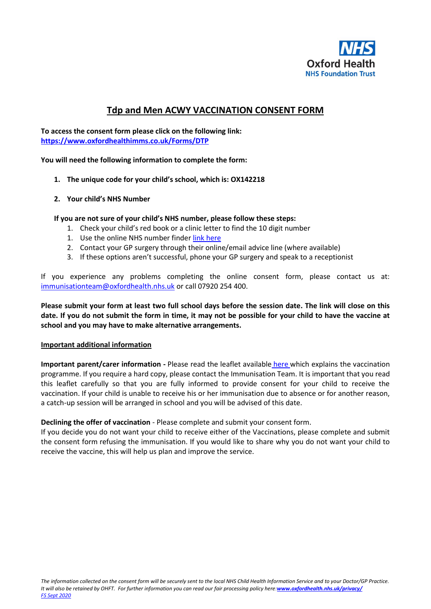

# **Tdp and Men ACWY VACCINATION CONSENT FORM**

**To access the consent form please click on the following link: <https://www.oxfordhealthimms.co.uk/Forms/DTP>**

**You will need the following information to complete the form:**

- **1. The unique code for your child's school, which is: OX142218**
- **2. Your child's NHS Number**

**If you are not sure of your child's NHS number, please follow these steps:**

- 1. Check your child's red book or a clinic letter to find the 10 digit number
- 1. Use the online NHS number finde[r link here](https://www.nhs.uk/nhs-services/online-services/find-nhs-number/)
- 2. Contact your GP surgery through their online/email advice line (where available)
- 3. If these options aren't successful, phone your GP surgery and speak to a receptionist

If you experience any problems completing the online consent form, please contact us at: [immunisationteam@oxfordhealth.nhs.uk](https://ohft365.sharepoint.com/sites/O365Grp-Covid-19vaccinationprogramme/Shared%20Documents/12-15%20Covid/COMMS/immunisationteam@oxfordhealth.nhs.uk) or call 07920 254 400.

**Please submit your form at least two full school days before the session date. The link will close on this date. If you do not submit the form in time, it may not be possible for your child to have the vaccine at school and you may have to make alternative arrangements.**

#### **Important additional information**

**Important parent/carer information -** Please read the leaflet available [here](https://assets.publishing.service.gov.uk/government/uploads/system/uploads/attachment_data/file/790731/Immunisations_for_Young_People_A5_.pdf) which explains the vaccination programme. If you require a hard copy, please contact the Immunisation Team. It is important that you read this leaflet carefully so that you are fully informed to provide consent for your child to receive the vaccination. If your child is unable to receive his or her immunisation due to absence or for another reason, a catch-up session will be arranged in school and you will be advised of this date.

#### **Declining the offer of vaccination** - Please complete and submit your consent form.

If you decide you do not want your child to receive either of the Vaccinations, please complete and submit the consent form refusing the immunisation. If you would like to share why you do not want your child to receive the vaccine, this will help us plan and improve the service.